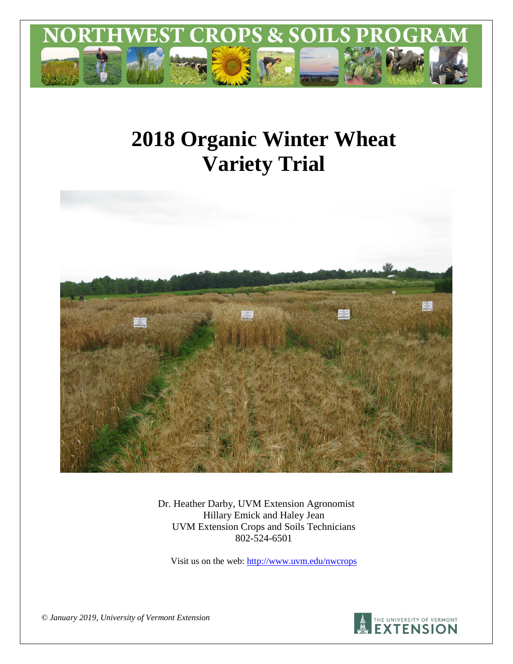

# **2018 Organic Winter Wheat Variety Trial**



Dr. Heather Darby, UVM Extension Agronomist Hillary Emick and Haley Jean UVM Extension Crops and Soils Technicians 802-524-6501

Visit us on the web:<http://www.uvm.edu/nwcrops>

*© January 2019, University of Vermont Extension* 

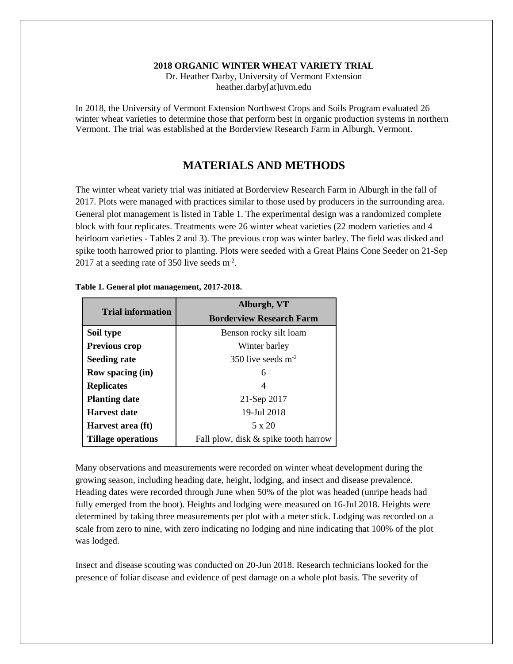#### **2018 ORGANIC WINTER WHEAT VARIETY TRIAL**

Dr. Heather Darby, University of Vermont Extension heather.darby[at]uvm.edu

In 2018, the University of Vermont Extension Northwest Crops and Soils Program evaluated 26 winter wheat varieties to determine those that perform best in organic production systems in northern Vermont. The trial was established at the Borderview Research Farm in Alburgh, Vermont.

### **MATERIALS AND METHODS**

The winter wheat variety trial was initiated at Borderview Research Farm in Alburgh in the fall of 2017. Plots were managed with practices similar to those used by producers in the surrounding area. General plot management is listed in Table 1. The experimental design was a randomized complete block with four replicates. Treatments were 26 winter wheat varieties (22 modern varieties and 4 heirloom varieties - Tables 2 and 3). The previous crop was winter barley. The field was disked and spike tooth harrowed prior to planting. Plots were seeded with a Great Plains Cone Seeder on 21-Sep 2017 at a seeding rate of 350 live seeds  $m<sup>2</sup>$ .

|                          | Alburgh, VT                          |  |  |  |  |
|--------------------------|--------------------------------------|--|--|--|--|
| <b>Trial information</b> | <b>Borderview Research Farm</b>      |  |  |  |  |
| Soil type                | Benson rocky silt loam               |  |  |  |  |
| <b>Previous crop</b>     | Winter barley                        |  |  |  |  |
| <b>Seeding rate</b>      | 350 live seeds $m^{-2}$              |  |  |  |  |
| <b>Row spacing (in)</b>  | 6                                    |  |  |  |  |
| <b>Replicates</b>        | 4                                    |  |  |  |  |
| <b>Planting date</b>     | 21-Sep 2017                          |  |  |  |  |
| <b>Harvest date</b>      | 19-Jul 2018                          |  |  |  |  |
| Harvest area (ft)        | 5 x 20                               |  |  |  |  |
| Tillage operations       | Fall plow, disk & spike tooth harrow |  |  |  |  |

**Table 1. General plot management, 2017-2018.**

Many observations and measurements were recorded on winter wheat development during the growing season, including heading date, height, lodging, and insect and disease prevalence. Heading dates were recorded through June when 50% of the plot was headed (unripe heads had fully emerged from the boot). Heights and lodging were measured on 16-Jul 2018. Heights were determined by taking three measurements per plot with a meter stick. Lodging was recorded on a scale from zero to nine, with zero indicating no lodging and nine indicating that 100% of the plot was lodged.

Insect and disease scouting was conducted on 20-Jun 2018. Research technicians looked for the presence of foliar disease and evidence of pest damage on a whole plot basis. The severity of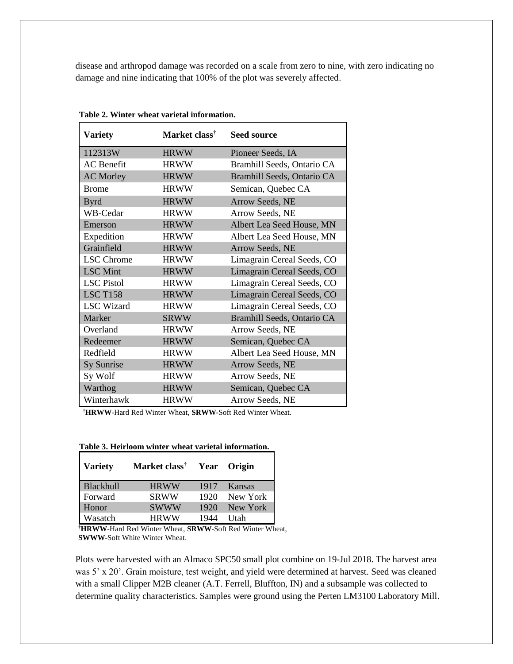disease and arthropod damage was recorded on a scale from zero to nine, with zero indicating no damage and nine indicating that 100% of the plot was severely affected.

| <b>Variety</b>    | Market class <sup>†</sup> | <b>Seed source</b>         |
|-------------------|---------------------------|----------------------------|
| 112313W           | <b>HRWW</b>               | Pioneer Seeds, IA          |
| <b>AC</b> Benefit | <b>HRWW</b>               | Bramhill Seeds, Ontario CA |
| <b>AC Morley</b>  | <b>HRWW</b>               | Bramhill Seeds, Ontario CA |
| <b>Brome</b>      | <b>HRWW</b>               | Semican, Quebec CA         |
| <b>Byrd</b>       | <b>HRWW</b>               | Arrow Seeds, NE            |
| WB-Cedar          | <b>HRWW</b>               | Arrow Seeds, NE            |
| Emerson           | <b>HRWW</b>               | Albert Lea Seed House, MN  |
| Expedition        | <b>HRWW</b>               | Albert Lea Seed House, MN  |
| Grainfield        | <b>HRWW</b>               | Arrow Seeds, NE            |
| <b>LSC</b> Chrome | <b>HRWW</b>               | Limagrain Cereal Seeds, CO |
| <b>LSC</b> Mint   | <b>HRWW</b>               | Limagrain Cereal Seeds, CO |
| <b>LSC</b> Pistol | <b>HRWW</b>               | Limagrain Cereal Seeds, CO |
| <b>LSC T158</b>   | <b>HRWW</b>               | Limagrain Cereal Seeds, CO |
| <b>LSC</b> Wizard | <b>HRWW</b>               | Limagrain Cereal Seeds, CO |
| Marker            | <b>SRWW</b>               | Bramhill Seeds, Ontario CA |
| Overland          | <b>HRWW</b>               | Arrow Seeds, NE            |
| Redeemer          | <b>HRWW</b>               | Semican, Quebec CA         |
| Redfield          | <b>HRWW</b>               | Albert Lea Seed House, MN  |
| Sy Sunrise        | <b>HRWW</b>               | Arrow Seeds, NE            |
| Sy Wolf           | <b>HRWW</b>               | Arrow Seeds, NE            |
| Warthog           | <b>HRWW</b>               | Semican, Quebec CA         |
| Winterhawk        | <b>HRWW</b>               | Arrow Seeds, NE            |

**Table 2. Winter wheat varietal information.**

**†HRWW**-Hard Red Winter Wheat, **SRWW**-Soft Red Winter Wheat.

| <b>Variety</b> | Market class <sup>†</sup> |      | Year Origin |
|----------------|---------------------------|------|-------------|
| Blackhull      | <b>HRWW</b>               | 1917 | Kansas      |
| Forward        | <b>SRWW</b>               | 1920 | New York    |
| Honor          | <b>SWWW</b>               | 1920 | New York    |
| Wasatch        | <b>HRWW</b>               | 1944 | <b>Utah</b> |

**Table 3. Heirloom winter wheat varietal information.**

**†HRWW**-Hard Red Winter Wheat, **SRWW**-Soft Red Winter Wheat, **SWWW**-Soft White Winter Wheat.

Plots were harvested with an Almaco SPC50 small plot combine on 19-Jul 2018. The harvest area was 5' x 20'. Grain moisture, test weight, and yield were determined at harvest. Seed was cleaned with a small Clipper M2B cleaner (A.T. Ferrell, Bluffton, IN) and a subsample was collected to determine quality characteristics. Samples were ground using the Perten LM3100 Laboratory Mill.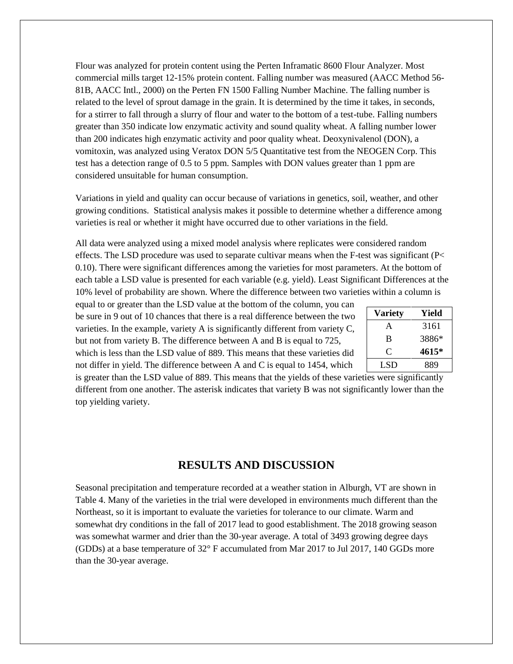Flour was analyzed for protein content using the Perten Inframatic 8600 Flour Analyzer. Most commercial mills target 12-15% protein content. Falling number was measured (AACC Method 56- 81B, AACC Intl., 2000) on the Perten FN 1500 Falling Number Machine. The falling number is related to the level of sprout damage in the grain. It is determined by the time it takes, in seconds, for a stirrer to fall through a slurry of flour and water to the bottom of a test-tube. Falling numbers greater than 350 indicate low enzymatic activity and sound quality wheat. A falling number lower than 200 indicates high enzymatic activity and poor quality wheat. Deoxynivalenol (DON), a vomitoxin, was analyzed using Veratox DON 5/5 Quantitative test from the NEOGEN Corp. This test has a detection range of 0.5 to 5 ppm. Samples with DON values greater than 1 ppm are considered unsuitable for human consumption.

Variations in yield and quality can occur because of variations in genetics, soil, weather, and other growing conditions. Statistical analysis makes it possible to determine whether a difference among varieties is real or whether it might have occurred due to other variations in the field.

All data were analyzed using a mixed model analysis where replicates were considered random effects. The LSD procedure was used to separate cultivar means when the F-test was significant (P< 0.10). There were significant differences among the varieties for most parameters. At the bottom of each table a LSD value is presented for each variable (e.g. yield). Least Significant Differences at the 10% level of probability are shown. Where the difference between two varieties within a column is

equal to or greater than the LSD value at the bottom of the column, you can be sure in 9 out of 10 chances that there is a real difference between the two varieties. In the example, variety A is significantly different from variety C, but not from variety B. The difference between A and B is equal to 725, which is less than the LSD value of 889. This means that these varieties did not differ in yield. The difference between A and C is equal to 1454, which

| <b>Variety</b> | Yield |
|----------------|-------|
| A              | 3161  |
| B              | 3886* |
| ⊖              | 4615* |
| LSD            | 889   |

is greater than the LSD value of 889. This means that the yields of these varieties were significantly different from one another. The asterisk indicates that variety B was not significantly lower than the top yielding variety.

#### **RESULTS AND DISCUSSION**

Seasonal precipitation and temperature recorded at a weather station in Alburgh, VT are shown in Table 4. Many of the varieties in the trial were developed in environments much different than the Northeast, so it is important to evaluate the varieties for tolerance to our climate. Warm and somewhat dry conditions in the fall of 2017 lead to good establishment. The 2018 growing season was somewhat warmer and drier than the 30-year average. A total of 3493 growing degree days (GDDs) at a base temperature of 32° F accumulated from Mar 2017 to Jul 2017, 140 GGDs more than the 30-year average.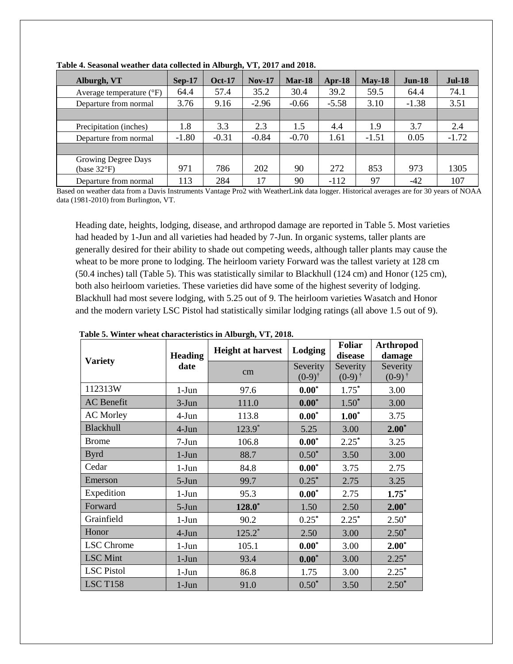| Alburgh, VT                                  | $Sep-17$ | <b>Oct-17</b> | $Nov-17$ | $Mar-18$ | Apr-18  | $Mav-18$ | <b>Jun-18</b> | $Jul-18$ |
|----------------------------------------------|----------|---------------|----------|----------|---------|----------|---------------|----------|
| Average temperature $({}^{\circ}F)$          | 64.4     | 57.4          | 35.2     | 30.4     | 39.2    | 59.5     | 64.4          | 74.1     |
| Departure from normal                        | 3.76     | 9.16          | $-2.96$  | $-0.66$  | $-5.58$ | 3.10     | $-1.38$       | 3.51     |
|                                              |          |               |          |          |         |          |               |          |
| Precipitation (inches)                       | 1.8      | 3.3           | 2.3      | 1.5      | 4.4     | 1.9      | 3.7           | 2.4      |
| Departure from normal                        | $-1.80$  | $-0.31$       | $-0.84$  | $-0.70$  | 1.61    | $-1.51$  | 0.05          | $-1.72$  |
|                                              |          |               |          |          |         |          |               |          |
| Growing Degree Days<br>(base $32^{\circ}F$ ) | 971      | 786           | 202      | 90       | 272     | 853      | 973           | 1305     |
| Departure from normal                        | 113      | 284           | 17       | 90       | $-112$  | 97       | -42           | 107      |

**Table 4. Seasonal weather data collected in Alburgh, VT, 2017 and 2018.**

Based on weather data from a Davis Instruments Vantage Pro2 with WeatherLink data logger. Historical averages are for 30 years of NOAA data (1981-2010) from Burlington, VT.

Heading date, heights, lodging, disease, and arthropod damage are reported in Table 5. Most varieties had headed by 1-Jun and all varieties had headed by 7-Jun. In organic systems, taller plants are generally desired for their ability to shade out competing weeds, although taller plants may cause the wheat to be more prone to lodging. The heirloom variety Forward was the tallest variety at 128 cm (50.4 inches) tall (Table 5). This was statistically similar to Blackhull (124 cm) and Honor (125 cm), both also heirloom varieties. These varieties did have some of the highest severity of lodging. Blackhull had most severe lodging, with 5.25 out of 9. The heirloom varieties Wasatch and Honor and the modern variety LSC Pistol had statistically similar lodging ratings (all above 1.5 out of 9).

|                   | <b>Heading</b><br>date | <b>Height at harvest</b> | Lodging                       | <b>Foliar</b><br>disease         | <b>Arthropod</b><br>damage    |
|-------------------|------------------------|--------------------------|-------------------------------|----------------------------------|-------------------------------|
| <b>Variety</b>    |                        | cm                       | Severity<br>$(0-9)^{\dagger}$ | Severity<br>$(0-9)$ <sup>†</sup> | Severity<br>$(0-9)^{\dagger}$ |
| 112313W           | $1-J$ un               | 97.6                     | $0.00*$                       | $1.75*$                          | 3.00                          |
| <b>AC</b> Benefit | $3-Jun$                | 111.0                    | $0.00*$                       | $1.50*$                          | 3.00                          |
| <b>AC Morley</b>  | 4-Jun                  | 113.8                    | $0.00*$                       | $1.00*$                          | 3.75                          |
| <b>Blackhull</b>  | $4-Jun$                | $123.9*$                 | 5.25                          | 3.00                             | $2.00*$                       |
| <b>Brome</b>      | $7-Jun$                | 106.8                    | $0.00*$                       | $2.25*$                          | 3.25                          |
| <b>Byrd</b>       | $1-J$ un               | 88.7                     | $0.50*$                       | 3.50                             | 3.00                          |
| Cedar             | $1-J$ un               | 84.8                     | $0.00*$                       | 3.75                             | 2.75                          |
| Emerson           | $5-Jun$                | 99.7                     | $0.25*$                       | 2.75                             | 3.25                          |
| Expedition        | $1-Jun$                | 95.3                     | $0.00*$                       | 2.75                             | $1.75*$                       |
| Forward           | $5-Jun$                | $128.0*$                 | 1.50                          | 2.50                             | $2.00*$                       |
| Grainfield        | $1-Jun$                | 90.2                     | $0.25*$                       | $2.25*$                          | $2.50*$                       |
| Honor             | $4-Jun$                | $125.2*$                 | 2.50                          | 3.00                             | $2.50*$                       |
| <b>LSC</b> Chrome | $1-J$ un               | 105.1                    | $0.00*$                       | 3.00                             | $2.00*$                       |
| <b>LSC</b> Mint   | $1-J$ un               | 93.4                     | $0.00*$                       | 3.00                             | $2.25*$                       |
| <b>LSC</b> Pistol | $1-Jun$                | 86.8                     | 1.75                          | 3.00                             | $2.25*$                       |
| <b>LSC T158</b>   | $1-J$ un               | 91.0                     | $0.50*$                       | 3.50                             | $2.50*$                       |

**Table 5. Winter wheat characteristics in Alburgh, VT, 2018.**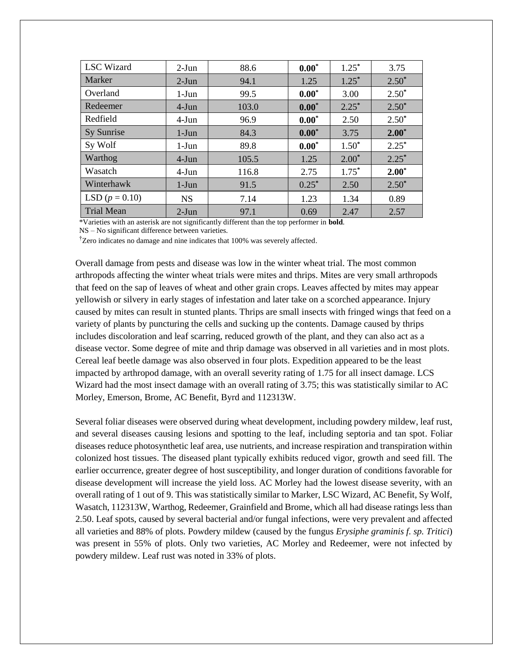| <b>LSC</b> Wizard | $2-Jun$   | 88.6  | $0.00*$  |          | 3.75    |
|-------------------|-----------|-------|----------|----------|---------|
| Marker            | $2-Jun$   | 94.1  | 1.25     | $1.25^*$ | $2.50*$ |
| Overland          | $1-J$ un  | 99.5  | $0.00*$  | 3.00     | $2.50*$ |
| Redeemer          | $4-J$ un  | 103.0 | $0.00*$  | $2.25*$  | $2.50*$ |
| Redfield          | $4-Jun$   | 96.9  | $0.00*$  | 2.50     | $2.50*$ |
| Sy Sunrise        | $1-J$ un  | 84.3  | $0.00*$  | 3.75     | $2.00*$ |
| Sy Wolf           | $1-J$ un  | 89.8  | $0.00*$  | $1.50*$  | $2.25*$ |
| Warthog           | $4-Jun$   | 105.5 | 1.25     | $2.00*$  | $2.25*$ |
| Wasatch           | $4-Jun$   | 116.8 | 2.75     | $1.75*$  | $2.00*$ |
| Winterhawk        | $1-J$ un  | 91.5  | $0.25^*$ | 2.50     | $2.50*$ |
| LSD $(p = 0.10)$  | <b>NS</b> | 7.14  | 1.23     | 1.34     | 0.89    |
| <b>Trial Mean</b> | $2-Jun$   | 97.1  | 0.69     | 2.47     | 2.57    |

\*Varieties with an asterisk are not significantly different than the top performer in **bold**.

NS – No significant difference between varieties.

†Zero indicates no damage and nine indicates that 100% was severely affected.

Overall damage from pests and disease was low in the winter wheat trial. The most common arthropods affecting the winter wheat trials were mites and thrips. Mites are very small arthropods that feed on the sap of leaves of wheat and other grain crops. Leaves affected by mites may appear yellowish or silvery in early stages of infestation and later take on a scorched appearance. Injury caused by mites can result in stunted plants. Thrips are small insects with fringed wings that feed on a variety of plants by puncturing the cells and sucking up the contents. Damage caused by thrips includes discoloration and leaf scarring, reduced growth of the plant, and they can also act as a disease vector. Some degree of mite and thrip damage was observed in all varieties and in most plots. Cereal leaf beetle damage was also observed in four plots. Expedition appeared to be the least impacted by arthropod damage, with an overall severity rating of 1.75 for all insect damage. LCS Wizard had the most insect damage with an overall rating of 3.75; this was statistically similar to AC Morley, Emerson, Brome, AC Benefit, Byrd and 112313W.

Several foliar diseases were observed during wheat development, including powdery mildew, leaf rust, and several diseases causing lesions and spotting to the leaf, including septoria and tan spot. Foliar diseases reduce photosynthetic leaf area, use nutrients, and increase respiration and transpiration within colonized host tissues. The diseased plant typically exhibits reduced vigor, growth and seed fill. The earlier occurrence, greater degree of host susceptibility, and longer duration of conditions favorable for disease development will increase the yield loss. AC Morley had the lowest disease severity, with an overall rating of 1 out of 9. This was statistically similar to Marker, LSC Wizard, AC Benefit, Sy Wolf, Wasatch, 112313W, Warthog, Redeemer, Grainfield and Brome, which all had disease ratings less than 2.50. Leaf spots, caused by several bacterial and/or fungal infections, were very prevalent and affected all varieties and 88% of plots. Powdery mildew (caused by the fungus *Erysiphe graminis f. sp. Tritici*) was present in 55% of plots. Only two varieties, AC Morley and Redeemer, were not infected by powdery mildew. Leaf rust was noted in 33% of plots.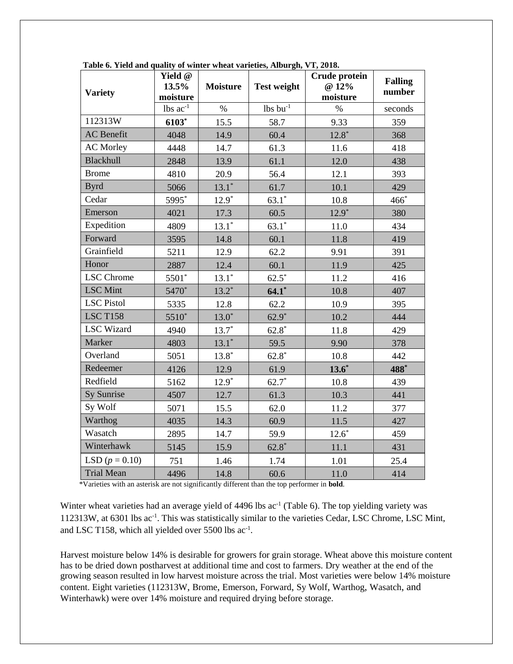| <b>Variety</b>    | Yield @<br>13.5%<br>moisture | <b>Moisture</b> | <b>Test weight</b> | Crude protein<br>@ 12%<br>moisture | <b>Falling</b><br>number |
|-------------------|------------------------------|-----------------|--------------------|------------------------------------|--------------------------|
|                   | lbs $ac^{-1}$                | $\%$            | $lbs$ bu $^{-1}$   | $\%$                               | seconds                  |
| 112313W           | 6103*                        | 15.5            | 58.7               | 9.33                               | 359                      |
| <b>AC</b> Benefit | 4048                         | 14.9            | 60.4               | $12.8*$                            | 368                      |
| <b>AC Morley</b>  | 4448                         | 14.7            | 61.3               | 11.6                               | 418                      |
| <b>Blackhull</b>  | 2848                         | 13.9            | 61.1               | 12.0                               | 438                      |
| <b>Brome</b>      | 4810                         | 20.9            | 56.4               | 12.1                               | 393                      |
| <b>Byrd</b>       | 5066                         | $13.1*$         | 61.7               | 10.1                               | 429                      |
| Cedar             | 5995*                        | $12.9*$         | $63.1*$            | 10.8                               | 466                      |
| Emerson           | 4021                         | 17.3            | 60.5               | $12.9*$                            | 380                      |
| Expedition        | 4809                         | $13.1*$         | $63.1*$            | 11.0                               | 434                      |
| Forward           | 3595                         | 14.8            | 60.1               | 11.8                               | 419                      |
| Grainfield        | 5211                         | 12.9            | 62.2               | 9.91                               | 391                      |
| Honor             | 2887                         | 12.4            | 60.1               | 11.9                               | 425                      |
| <b>LSC</b> Chrome | 5501*                        | $13.1*$         | $62.5*$            | 11.2                               | 416                      |
| <b>LSC</b> Mint   | 5470*                        | $13.2*$         | $64.1*$            | 10.8                               | 407                      |
| <b>LSC</b> Pistol | 5335                         | 12.8            | 62.2               | 10.9                               | 395                      |
| <b>LSC T158</b>   | 5510*                        | $13.0*$         | $62.9*$            | 10.2                               | 444                      |
| <b>LSC</b> Wizard | 4940                         | $13.7*$         | $62.8*$            | 11.8                               | 429                      |
| Marker            | 4803                         | $13.1*$         | 59.5               | 9.90                               | 378                      |
| Overland          | 5051                         | $13.8*$         | $62.8*$            | 10.8                               | 442                      |
| Redeemer          | 4126                         | 12.9            | 61.9               | $13.6*$                            | 488*                     |
| Redfield          | 5162                         | $12.9*$         | $62.7*$            | 10.8                               | 439                      |
| Sy Sunrise        | 4507                         | 12.7            | 61.3               | 10.3                               | 441                      |
| Sy Wolf           | 5071                         | 15.5            | 62.0               | 11.2                               | 377                      |
| Warthog           | 4035                         | 14.3            | 60.9               | 11.5                               | 427                      |
| Wasatch           | 2895                         | 14.7            | 59.9               | $12.6*$                            | 459                      |
| Winterhawk        | 5145                         | 15.9            | $62.8*$            | 11.1                               | 431                      |
| LSD $(p = 0.10)$  | 751                          | 1.46            | 1.74               | 1.01                               | 25.4                     |
| <b>Trial Mean</b> | 4496                         | 14.8            | 60.6               | 11.0                               | 414                      |

**Table 6. Yield and quality of winter wheat varieties, Alburgh, VT, 2018.**

\*Varieties with an asterisk are not significantly different than the top performer in **bold**.

Winter wheat varieties had an average yield of 4496 lbs ac<sup>-1</sup> (Table 6). The top yielding variety was 112313W, at 6301 lbs ac<sup>-1</sup>. This was statistically similar to the varieties Cedar, LSC Chrome, LSC Mint, and LSC T158, which all yielded over  $5500$  lbs ac<sup>-1</sup>.

Harvest moisture below 14% is desirable for growers for grain storage. Wheat above this moisture content has to be dried down postharvest at additional time and cost to farmers. Dry weather at the end of the growing season resulted in low harvest moisture across the trial. Most varieties were below 14% moisture content. Eight varieties (112313W, Brome, Emerson, Forward, Sy Wolf, Warthog, Wasatch, and Winterhawk) were over 14% moisture and required drying before storage.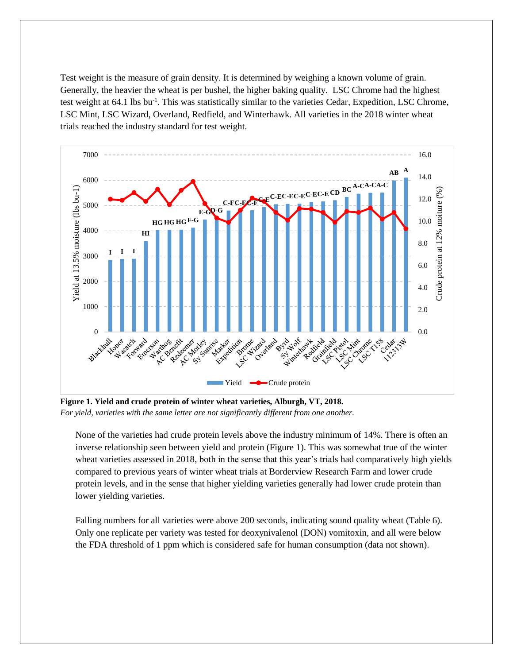Test weight is the measure of grain density. It is determined by weighing a known volume of grain. Generally, the heavier the wheat is per bushel, the higher baking quality. LSC Chrome had the highest test weight at 64.1 lbs bu<sup>-1</sup>. This was statistically similar to the varieties Cedar, Expedition, LSC Chrome, LSC Mint, LSC Wizard, Overland, Redfield, and Winterhawk. All varieties in the 2018 winter wheat trials reached the industry standard for test weight.



**Figure 1. Yield and crude protein of winter wheat varieties, Alburgh, VT, 2018.**  *For yield, varieties with the same letter are not significantly different from one another.*

None of the varieties had crude protein levels above the industry minimum of 14%. There is often an inverse relationship seen between yield and protein (Figure 1). This was somewhat true of the winter wheat varieties assessed in 2018, both in the sense that this year's trials had comparatively high yields compared to previous years of winter wheat trials at Borderview Research Farm and lower crude protein levels, and in the sense that higher yielding varieties generally had lower crude protein than lower yielding varieties.

Falling numbers for all varieties were above 200 seconds, indicating sound quality wheat (Table 6). Only one replicate per variety was tested for deoxynivalenol (DON) vomitoxin, and all were below the FDA threshold of 1 ppm which is considered safe for human consumption (data not shown).